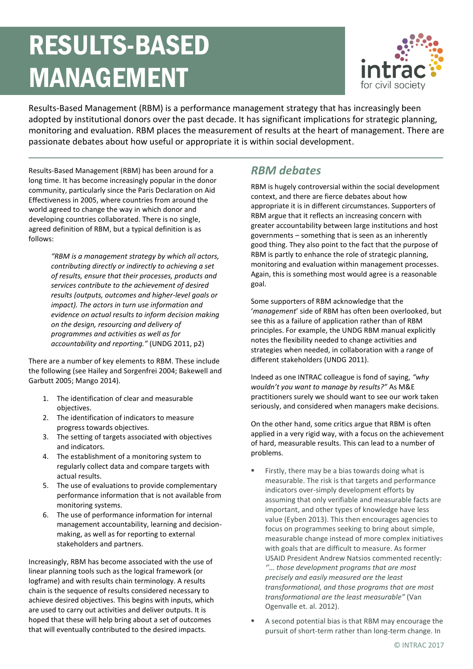# RESULTS-BASED MANAGEMENT



Results-Based Management (RBM) is a performance management strategy that has increasingly been adopted by institutional donors over the past decade. It has significant implications for strategic planning, monitoring and evaluation. RBM places the measurement of results at the heart of management. There are passionate debates about how useful or appropriate it is within social development.

Results-Based Management (RBM) has been around for a long time. It has become increasingly popular in the donor community, particularly since the Paris Declaration on Aid Effectiveness in 2005, where countries from around the world agreed to change the way in which donor and developing countries collaborated. There is no single, agreed definition of RBM, but a typical definition is as follows:

> *"RBM is a management strategy by which all actors, contributing directly or indirectly to achieving a set of results, ensure that their processes, products and services contribute to the achievement of desired results (outputs, outcomes and higher-level goals or impact). The actors in turn use information and evidence on actual results to inform decision making on the design, resourcing and delivery of programmes and activities as well as for accountability and reporting."* (UNDG 2011, p2)

There are a number of key elements to RBM. These include the following (see Hailey and Sorgenfrei 2004; Bakewell and Garbutt 2005; Mango 2014).

- 1. The identification of clear and measurable objectives.
- 2. The identification of indicators to measure progress towards objectives.
- 3. The setting of targets associated with objectives and indicators.
- 4. The establishment of a monitoring system to regularly collect data and compare targets with actual results.
- 5. The use of evaluations to provide complementary performance information that is not available from monitoring systems.
- 6. The use of performance information for internal management accountability, learning and decisionmaking, as well as for reporting to external stakeholders and partners.

Increasingly, RBM has become associated with the use of linear planning tools such as the logical framework (or logframe) and with results chain terminology. A results chain is the sequence of results considered necessary to achieve desired objectives. This begins with inputs, which are used to carry out activities and deliver outputs. It is hoped that these will help bring about a set of outcomes that will eventually contributed to the desired impacts.

#### *RBM debates*

RBM is hugely controversial within the social development context, and there are fierce debates about how appropriate it is in different circumstances. Supporters of RBM argue that it reflects an increasing concern with greater accountability between large institutions and host governments – something that is seen as an inherently good thing. They also point to the fact that the purpose of RBM is partly to enhance the role of strategic planning, monitoring and evaluation within management processes. Again, this is something most would agree is a reasonable goal.

Some supporters of RBM acknowledge that the '*management*' side of RBM has often been overlooked, but see this as a failure of application rather than of RBM principles. For example, the UNDG RBM manual explicitly notes the flexibility needed to change activities and strategies when needed, in collaboration with a range of different stakeholders (UNDG 2011).

Indeed as one INTRAC colleague is fond of saying, *"why wouldn't you want to manage by results?"* As M&E practitioners surely we should want to see our work taken seriously, and considered when managers make decisions.

On the other hand, some critics argue that RBM is often applied in a very rigid way, with a focus on the achievement of hard, measurable results. This can lead to a number of problems.

- Firstly, there may be a bias towards doing what is measurable. The risk is that targets and performance indicators over-simply development efforts by assuming that only verifiable and measurable facts are important, and other types of knowledge have less value (Eyben 2013). This then encourages agencies to focus on programmes seeking to bring about simple, measurable change instead of more complex initiatives with goals that are difficult to measure. As former USAID President Andrew Natsios commented recently: *''… those development programs that are most precisely and easily measured are the least transformational, and those programs that are most transformational are the least measurable"* (Van Ogenvalle et. al. 2012).
- A second potential bias is that RBM may encourage the pursuit of short-term rather than long-term change. In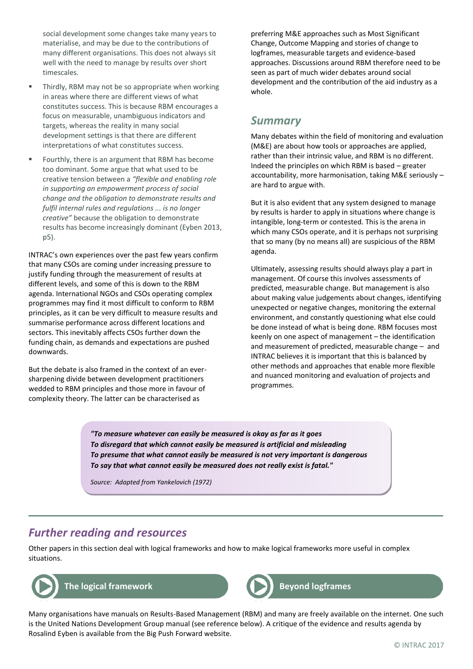social development some changes take many years to materialise, and may be due to the contributions of many different organisations. This does not always sit well with the need to manage by results over short timescales.

- Thirdly, RBM may not be so appropriate when working in areas where there are different views of what constitutes success. This is because RBM encourages a focus on measurable, unambiguous indicators and targets, whereas the reality in many social development settings is that there are different interpretations of what constitutes success.
- Fourthly, there is an argument that RBM has become too dominant. Some argue that what used to be creative tension between a *"flexible and enabling role in supporting an empowerment process of social change and the obligation to demonstrate results and fulfil internal rules and regulations ... is no longer creative"* because the obligation to demonstrate results has become increasingly dominant (Eyben 2013, p5).

INTRAC's own experiences over the past few years confirm that many CSOs are coming under increasing pressure to justify funding through the measurement of results at different levels, and some of this is down to the RBM agenda. International NGOs and CSOs operating complex programmes may find it most difficult to conform to RBM principles, as it can be very difficult to measure results and summarise performance across different locations and sectors. This inevitably affects CSOs further down the funding chain, as demands and expectations are pushed downwards.

But the debate is also framed in the context of an eversharpening divide between development practitioners wedded to RBM principles and those more in favour of complexity theory. The latter can be characterised as

preferring M&E approaches such as Most Significant Change, Outcome Mapping and stories of change to logframes, measurable targets and evidence-based approaches. Discussions around RBM therefore need to be seen as part of much wider debates around social development and the contribution of the aid industry as a whole.

#### *Summary*

Many debates within the field of monitoring and evaluation (M&E) are about how tools or approaches are applied, rather than their intrinsic value, and RBM is no different. Indeed the principles on which RBM is based – greater accountability, more harmonisation, taking M&E seriously – are hard to argue with.

But it is also evident that any system designed to manage by results is harder to apply in situations where change is intangible, long-term or contested. This is the arena in which many CSOs operate, and it is perhaps not surprising that so many (by no means all) are suspicious of the RBM agenda.

Ultimately, assessing results should always play a part in management. Of course this involves assessments of predicted, measurable change. But management is also about making value judgements about changes, identifying unexpected or negative changes, monitoring the external environment, and constantly questioning what else could be done instead of what is being done. RBM focuses most keenly on one aspect of management – the identification and measurement of predicted, measurable change – and INTRAC believes it is important that this is balanced by other methods and approaches that enable more flexible and nuanced monitoring and evaluation of projects and programmes.

*"To measure whatever can easily be measured is okay as far as it goes To disregard that which cannot easily be measured is artificial and misleading To presume that what cannot easily be measured is not very important is dangerous To say that what cannot easily be measured does not really exist is fatal."*

*Source: Adapted from Yankelovich (1972)*

#### *Further reading and resources*

Other papers in this section deal with logical frameworks and how to make logical frameworks more useful in complex situations.





Many organisations have manuals on Results-Based Management (RBM) and many are freely available on the internet. One such is the United Nations Development Group manual (see reference below). A critique of the evidence and results agenda by Rosalind Eyben is available from the Big Push Forward website.